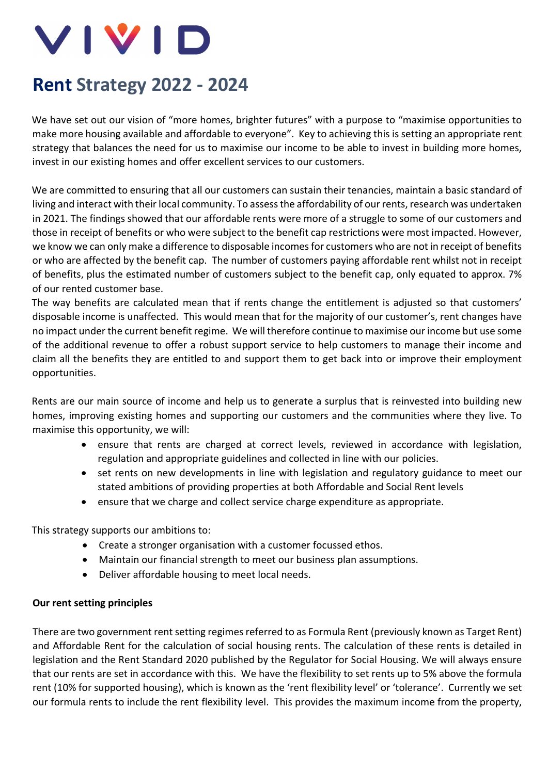

# **Rent Strategy 2022 - 2024**

We have set out our vision of "more homes, brighter futures" with a purpose to "maximise opportunities to make more housing available and affordable to everyone". Key to achieving this is setting an appropriate rent strategy that balances the need for us to maximise our income to be able to invest in building more homes, invest in our existing homes and offer excellent services to our customers.

We are committed to ensuring that all our customers can sustain their tenancies, maintain a basic standard of living and interact with their local community. To assess the affordability of our rents, research was undertaken in 2021. The findings showed that our affordable rents were more of a struggle to some of our customers and those in receipt of benefits or who were subject to the benefit cap restrictions were most impacted. However, we know we can only make a difference to disposable incomes for customers who are not in receipt of benefits or who are affected by the benefit cap. The number of customers paying affordable rent whilst not in receipt of benefits, plus the estimated number of customers subject to the benefit cap, only equated to approx. 7% of our rented customer base.

The way benefits are calculated mean that if rents change the entitlement is adjusted so that customers' disposable income is unaffected. This would mean that for the majority of our customer's, rent changes have no impact under the current benefit regime. We will therefore continue to maximise our income but use some of the additional revenue to offer a robust support service to help customers to manage their income and claim all the benefits they are entitled to and support them to get back into or improve their employment opportunities.

Rents are our main source of income and help us to generate a surplus that is reinvested into building new homes, improving existing homes and supporting our customers and the communities where they live. To maximise this opportunity, we will:

- ensure that rents are charged at correct levels, reviewed in accordance with legislation, regulation and appropriate guidelines and collected in line with our policies.
- set rents on new developments in line with legislation and regulatory guidance to meet our stated ambitions of providing properties at both Affordable and Social Rent levels
- ensure that we charge and collect service charge expenditure as appropriate.

This strategy supports our ambitions to:

- Create a stronger organisation with a customer focussed ethos.
- Maintain our financial strength to meet our business plan assumptions.
- Deliver affordable housing to meet local needs.

### **Our rent setting principles**

There are two government rent setting regimes referred to as Formula Rent (previously known as Target Rent) and Affordable Rent for the calculation of social housing rents. The calculation of these rents is detailed in legislation and the Rent Standard 2020 published by the Regulator for Social Housing. We will always ensure that our rents are set in accordance with this. We have the flexibility to set rents up to 5% above the formula rent (10% for supported housing), which is known as the 'rent flexibility level' or 'tolerance'. Currently we set our formula rents to include the rent flexibility level. This provides the maximum income from the property,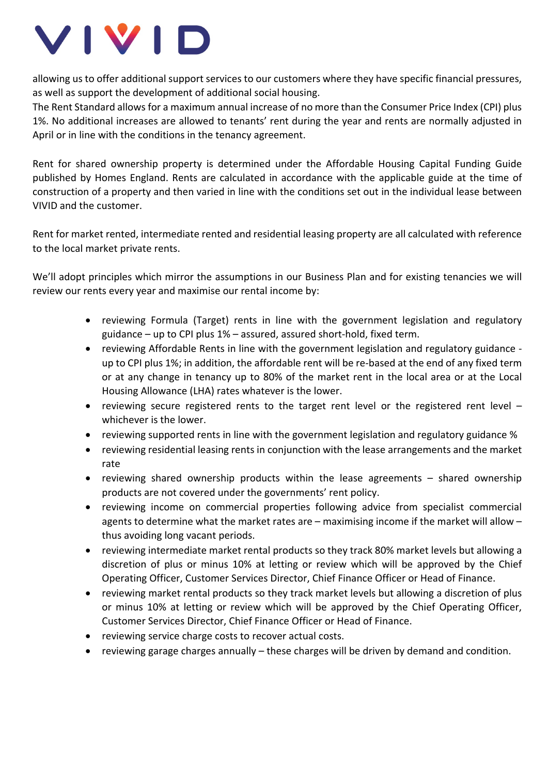

allowing us to offer additional support services to our customers where they have specific financial pressures, as well as support the development of additional social housing.

The Rent Standard allows for a maximum annual increase of no more than the Consumer Price Index (CPI) plus 1%. No additional increases are allowed to tenants' rent during the year and rents are normally adjusted in April or in line with the conditions in the tenancy agreement.

Rent for shared ownership property is determined under the Affordable Housing Capital Funding Guide published by Homes England. Rents are calculated in accordance with the applicable guide at the time of construction of a property and then varied in line with the conditions set out in the individual lease between VIVID and the customer.

Rent for market rented, intermediate rented and residential leasing property are all calculated with reference to the local market private rents.

We'll adopt principles which mirror the assumptions in our Business Plan and for existing tenancies we will review our rents every year and maximise our rental income by:

- reviewing Formula (Target) rents in line with the government legislation and regulatory guidance – up to CPI plus 1% – assured, assured short-hold, fixed term.
- reviewing Affordable Rents in line with the government legislation and regulatory guidance up to CPI plus 1%; in addition, the affordable rent will be re-based at the end of any fixed term or at any change in tenancy up to 80% of the market rent in the local area or at the Local Housing Allowance (LHA) rates whatever is the lower.
- reviewing secure registered rents to the target rent level or the registered rent level whichever is the lower.
- reviewing supported rents in line with the government legislation and regulatory guidance %
- reviewing residential leasing rents in conjunction with the lease arrangements and the market rate
- reviewing shared ownership products within the lease agreements  $-$  shared ownership products are not covered under the governments' rent policy.
- reviewing income on commercial properties following advice from specialist commercial agents to determine what the market rates are – maximising income if the market will allow – thus avoiding long vacant periods.
- reviewing intermediate market rental products so they track 80% market levels but allowing a discretion of plus or minus 10% at letting or review which will be approved by the Chief Operating Officer, Customer Services Director, Chief Finance Officer or Head of Finance.
- reviewing market rental products so they track market levels but allowing a discretion of plus or minus 10% at letting or review which will be approved by the Chief Operating Officer, Customer Services Director, Chief Finance Officer or Head of Finance.
- reviewing service charge costs to recover actual costs.
- reviewing garage charges annually these charges will be driven by demand and condition.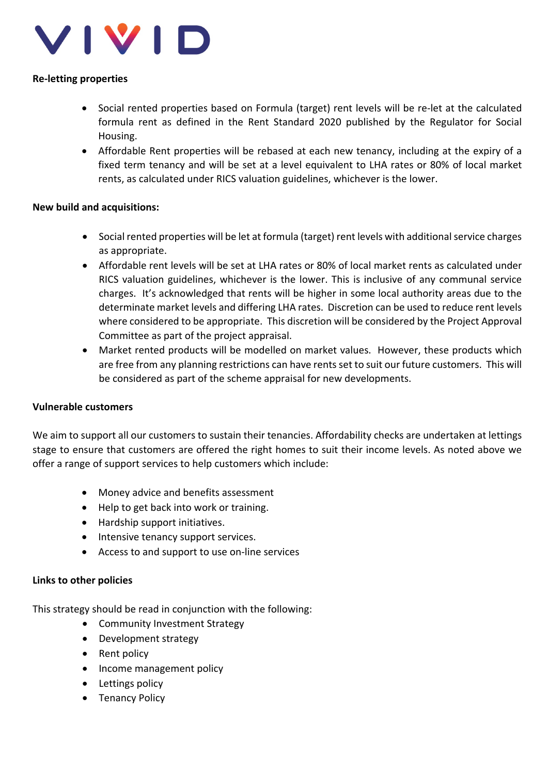

### **Re-letting properties**

- Social rented properties based on Formula (target) rent levels will be re-let at the calculated formula rent as defined in the Rent Standard 2020 published by the Regulator for Social Housing.
- Affordable Rent properties will be rebased at each new tenancy, including at the expiry of a fixed term tenancy and will be set at a level equivalent to LHA rates or 80% of local market rents, as calculated under RICS valuation guidelines, whichever is the lower.

### **New build and acquisitions:**

- Social rented properties will be let at formula (target) rent levels with additional service charges as appropriate.
- Affordable rent levels will be set at LHA rates or 80% of local market rents as calculated under RICS valuation guidelines, whichever is the lower. This is inclusive of any communal service charges. It's acknowledged that rents will be higher in some local authority areas due to the determinate market levels and differing LHA rates. Discretion can be used to reduce rent levels where considered to be appropriate. This discretion will be considered by the Project Approval Committee as part of the project appraisal.
- Market rented products will be modelled on market values. However, these products which are free from any planning restrictions can have rents set to suit our future customers. This will be considered as part of the scheme appraisal for new developments.

## **Vulnerable customers**

We aim to support all our customers to sustain their tenancies. Affordability checks are undertaken at lettings stage to ensure that customers are offered the right homes to suit their income levels. As noted above we offer a range of support services to help customers which include:

- Money advice and benefits assessment
- Help to get back into work or training.
- Hardship support initiatives.
- Intensive tenancy support services.
- Access to and support to use on-line services

### **Links to other policies**

This strategy should be read in conjunction with the following:

- Community Investment Strategy
- Development strategy
- Rent policy
- Income management policy
- Lettings policy
- Tenancy Policy